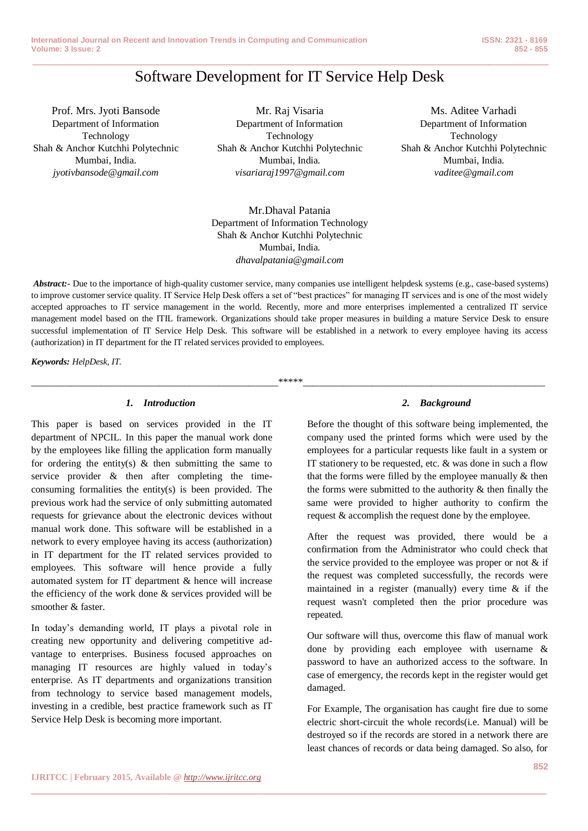# **\_\_\_\_\_\_\_\_\_\_\_\_\_\_\_\_\_\_\_\_\_\_\_\_\_\_\_\_\_\_\_\_\_\_\_\_\_\_\_\_\_\_\_\_\_\_\_\_\_\_\_\_\_\_\_\_\_\_\_\_\_\_\_\_\_\_\_\_\_\_\_\_\_\_\_\_\_\_\_\_\_\_\_\_\_\_\_\_\_\_\_\_\_\_\_** Software Development for IT Service Help Desk

Prof. Mrs. Jyoti Bansode Department of Information Technology Shah & Anchor Kutchhi Polytechnic Mumbai, India. *jyotivbansode@gmail.com*

Mr. Raj Visaria Department of Information Technology Shah & Anchor Kutchhi Polytechnic Mumbai, India. *visariaraj1997@gmail.com*

Ms. Aditee Varhadi Department of Information Technology Shah & Anchor Kutchhi Polytechnic Mumbai, India. *vaditee@gmail.com*

Mr.Dhaval Patania Department of Information Technology Shah & Anchor Kutchhi Polytechnic Mumbai, India. *dhavalpatania@gmail.com*

*Abstract:-* Due to the importance of high-quality customer service, many companies use intelligent helpdesk systems (e.g., case-based systems) to improve customer service quality. IT Service Help Desk offers a set of "best practices" for managing IT services and is one of the most widely accepted approaches to IT service management in the world. Recently, more and more enterprises implemented a centralized IT service management model based on the ITIL framework. Organizations should take proper measures in building a mature Service Desk to ensure successful implementation of IT Service Help Desk. This software will be established in a network to every employee having its access (authorization) in IT department for the IT related services provided to employees.

\_\_\_\_\_\_\_\_\_\_\_\_\_\_\_\_\_\_\_\_\_\_\_\_\_\_\_\_\_\_\_\_\_\_\_\_\_\_\_\_\_\_\_\_\_\_\_\_\_\_\*\*\*\*\*\_\_\_\_\_\_\_\_\_\_\_\_\_\_\_\_\_\_\_\_\_\_\_\_\_\_\_\_\_\_\_\_\_\_\_\_\_\_\_\_\_\_\_\_\_\_\_\_\_

**\_\_\_\_\_\_\_\_\_\_\_\_\_\_\_\_\_\_\_\_\_\_\_\_\_\_\_\_\_\_\_\_\_\_\_\_\_\_\_\_\_\_\_\_\_\_\_\_\_\_\_\_\_\_\_\_\_\_\_\_\_\_\_\_\_\_\_\_\_\_\_\_\_\_\_\_\_\_\_\_\_\_\_\_\_\_\_**

*Keywords: HelpDesk, IT.*

# *1. Introduction*

This paper is based on services provided in the IT department of NPCIL. In this paper the manual work done by the employees like filling the application form manually for ordering the entity(s)  $\&$  then submitting the same to service provider & then after completing the timeconsuming formalities the entity(s) is been provided. The previous work had the service of only submitting automated requests for grievance about the electronic devices without manual work done. This software will be established in a network to every employee having its access (authorization) in IT department for the IT related services provided to employees. This software will hence provide a fully automated system for IT department & hence will increase the efficiency of the work done & services provided will be smoother & faster.

In today's demanding world, IT plays a pivotal role in creating new opportunity and delivering competitive advantage to enterprises. Business focused approaches on managing IT resources are highly valued in today's enterprise. As IT departments and organizations transition from technology to service based management models, investing in a credible, best practice framework such as IT Service Help Desk is becoming more important.

# *2. Background*

Before the thought of this software being implemented, the company used the printed forms which were used by the employees for a particular requests like fault in a system or IT stationery to be requested, etc. & was done in such a flow that the forms were filled by the employee manually & then the forms were submitted to the authority & then finally the same were provided to higher authority to confirm the request & accomplish the request done by the employee.

After the request was provided, there would be a confirmation from the Administrator who could check that the service provided to the employee was proper or not  $\&$  if the request was completed successfully, the records were maintained in a register (manually) every time & if the request wasn't completed then the prior procedure was repeated.

Our software will thus, overcome this flaw of manual work done by providing each employee with username & password to have an authorized access to the software. In case of emergency, the records kept in the register would get damaged.

For Example, The organisation has caught fire due to some electric short-circuit the whole records(i.e. Manual) will be destroyed so if the records are stored in a network there are least chances of records or data being damaged. So also, for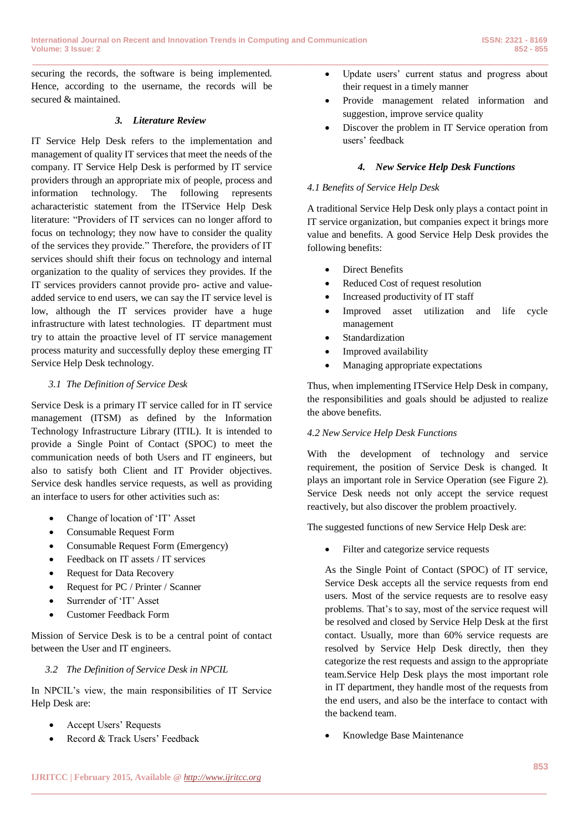**\_\_\_\_\_\_\_\_\_\_\_\_\_\_\_\_\_\_\_\_\_\_\_\_\_\_\_\_\_\_\_\_\_\_\_\_\_\_\_\_\_\_\_\_\_\_\_\_\_\_\_\_\_\_\_\_\_\_\_\_\_\_\_\_\_\_\_\_\_\_\_\_\_\_\_\_\_\_\_\_\_\_\_\_\_\_\_\_\_\_\_\_\_\_\_**

securing the records, the software is being implemented. Hence, according to the username, the records will be secured & maintained.

# *3. Literature Review*

IT Service Help Desk refers to the implementation and management of quality IT services that meet the needs of the company. IT Service Help Desk is performed by IT service providers through an appropriate mix of people, process and information technology. The following represents acharacteristic statement from the ITService Help Desk literature: "Providers of IT services can no longer afford to focus on technology; they now have to consider the quality of the services they provide." Therefore, the providers of IT services should shift their focus on technology and internal organization to the quality of services they provides. If the IT services providers cannot provide pro- active and valueadded service to end users, we can say the IT service level is low, although the IT services provider have a huge infrastructure with latest technologies. IT department must try to attain the proactive level of IT service management process maturity and successfully deploy these emerging IT Service Help Desk technology.

# *3.1 The Definition of Service Desk*

Service Desk is a primary IT service called for in IT service management (ITSM) as defined by the Information Technology Infrastructure Library (ITIL). It is intended to provide a Single Point of Contact (SPOC) to meet the communication needs of both Users and IT engineers, but also to satisfy both Client and IT Provider objectives. Service desk handles service requests, as well as providing an interface to users for other activities such as:

- Change of location of 'IT' Asset
- Consumable Request Form
- Consumable Request Form (Emergency)
- Feedback on IT assets / IT services
- Request for Data Recovery
- Request for PC / Printer / Scanner
- Surrender of 'IT' Asset
- Customer Feedback Form

Mission of Service Desk is to be a central point of contact between the User and IT engineers.

# *3.2 The Definition of Service Desk in NPCIL*

In NPCIL's view, the main responsibilities of IT Service Help Desk are:

- Accept Users' Requests
- Record & Track Users' Feedback
- Update users' current status and progress about their request in a timely manner
- Provide management related information and suggestion, improve service quality
- Discover the problem in IT Service operation from users' feedback

#### *4. New Service Help Desk Functions*

#### *4.1 Benefits of Service Help Desk*

A traditional Service Help Desk only plays a contact point in IT service organization, but companies expect it brings more value and benefits. A good Service Help Desk provides the following benefits:

- Direct Benefits
- Reduced Cost of request resolution
- Increased productivity of IT staff
- Improved asset utilization and life cycle management
- Standardization
- Improved availability
- Managing appropriate expectations

Thus, when implementing ITService Help Desk in company, the responsibilities and goals should be adjusted to realize the above benefits.

#### *4.2 New Service Help Desk Functions*

With the development of technology and service requirement, the position of Service Desk is changed. It plays an important role in Service Operation (see Figure 2). Service Desk needs not only accept the service request reactively, but also discover the problem proactively.

The suggested functions of new Service Help Desk are:

• Filter and categorize service requests

As the Single Point of Contact (SPOC) of IT service, Service Desk accepts all the service requests from end users. Most of the service requests are to resolve easy problems. That's to say, most of the service request will be resolved and closed by Service Help Desk at the first contact. Usually, more than 60% service requests are resolved by Service Help Desk directly, then they categorize the rest requests and assign to the appropriate team.Service Help Desk plays the most important role in IT department, they handle most of the requests from the end users, and also be the interface to contact with the backend team.

Knowledge Base Maintenance

**\_\_\_\_\_\_\_\_\_\_\_\_\_\_\_\_\_\_\_\_\_\_\_\_\_\_\_\_\_\_\_\_\_\_\_\_\_\_\_\_\_\_\_\_\_\_\_\_\_\_\_\_\_\_\_\_\_\_\_\_\_\_\_\_\_\_\_\_\_\_\_\_\_\_\_\_\_\_\_\_\_\_\_\_\_\_\_**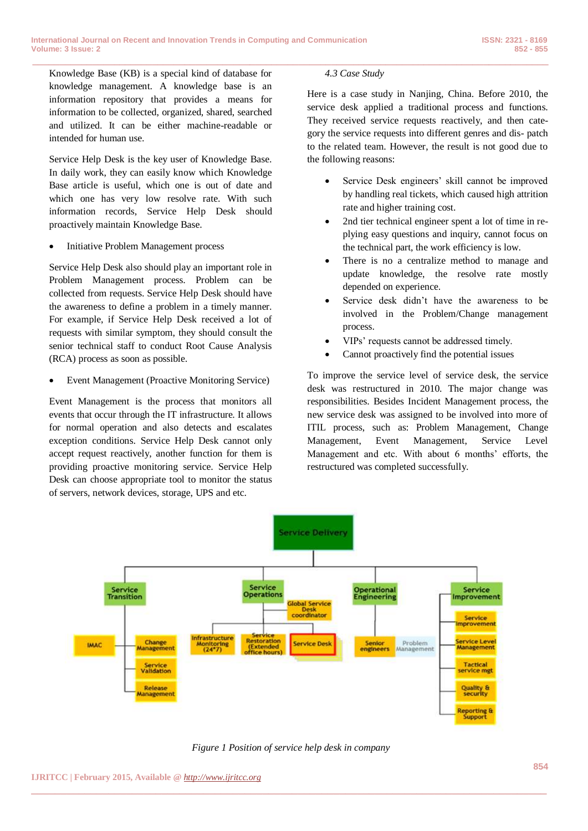Knowledge Base (KB) is a special kind of database for knowledge management. A knowledge base is an information repository that provides a means for information to be collected, organized, shared, searched and utilized. It can be either machine-readable or intended for human use.

Service Help Desk is the key user of Knowledge Base. In daily work, they can easily know which Knowledge Base article is useful, which one is out of date and which one has very low resolve rate. With such information records, Service Help Desk should proactively maintain Knowledge Base.

Initiative Problem Management process

Service Help Desk also should play an important role in Problem Management process. Problem can be collected from requests. Service Help Desk should have the awareness to define a problem in a timely manner. For example, if Service Help Desk received a lot of requests with similar symptom, they should consult the senior technical staff to conduct Root Cause Analysis (RCA) process as soon as possible.

Event Management (Proactive Monitoring Service)

Event Management is the process that monitors all events that occur through the IT infrastructure. It allows for normal operation and also detects and escalates exception conditions. Service Help Desk cannot only accept request reactively, another function for them is providing proactive monitoring service. Service Help Desk can choose appropriate tool to monitor the status of servers, network devices, storage, UPS and etc.

# *4.3 Case Study*

**\_\_\_\_\_\_\_\_\_\_\_\_\_\_\_\_\_\_\_\_\_\_\_\_\_\_\_\_\_\_\_\_\_\_\_\_\_\_\_\_\_\_\_\_\_\_\_\_\_\_\_\_\_\_\_\_\_\_\_\_\_\_\_\_\_\_\_\_\_\_\_\_\_\_\_\_\_\_\_\_\_\_\_\_\_\_\_\_\_\_\_\_\_\_\_**

Here is a case study in Nanjing, China. Before 2010, the service desk applied a traditional process and functions. They received service requests reactively, and then category the service requests into different genres and dis- patch to the related team. However, the result is not good due to the following reasons:

- Service Desk engineers' skill cannot be improved by handling real tickets, which caused high attrition rate and higher training cost.
- 2nd tier technical engineer spent a lot of time in replying easy questions and inquiry, cannot focus on the technical part, the work efficiency is low.
- There is no a centralize method to manage and update knowledge, the resolve rate mostly depended on experience.
- Service desk didn't have the awareness to be involved in the Problem/Change management process.
- VIPs' requests cannot be addressed timely.
- Cannot proactively find the potential issues

To improve the service level of service desk, the service desk was restructured in 2010. The major change was responsibilities. Besides Incident Management process, the new service desk was assigned to be involved into more of ITIL process, such as: Problem Management, Change Management, Event Management, Service Level Management and etc. With about 6 months' efforts, the restructured was completed successfully.



*Figure 1 Position of service help desk in company*

**\_\_\_\_\_\_\_\_\_\_\_\_\_\_\_\_\_\_\_\_\_\_\_\_\_\_\_\_\_\_\_\_\_\_\_\_\_\_\_\_\_\_\_\_\_\_\_\_\_\_\_\_\_\_\_\_\_\_\_\_\_\_\_\_\_\_\_\_\_\_\_\_\_\_\_\_\_\_\_\_\_\_\_\_\_\_\_**